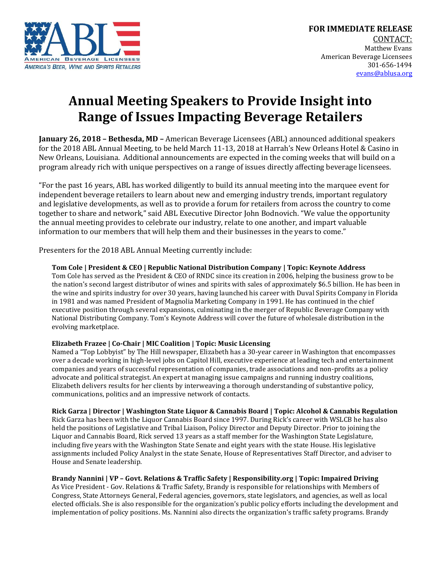

# **Annual Meeting Speakers to Provide Insight into Range of Issues Impacting Beverage Retailers**

**January 26, 2018 – Bethesda, MD –** American Beverage Licensees (ABL) announced additional speakers for the 2018 ABL Annual Meeting, to be held March 11-13, 2018 at Harrah's New Orleans Hotel & Casino in New Orleans, Louisiana. Additional announcements are expected in the coming weeks that will build on a program already rich with unique perspectives on a range of issues directly affecting beverage licensees.

"For the past 16 years, ABL has worked diligently to build its annual meeting into the marquee event for independent beverage retailers to learn about new and emerging industry trends, important regulatory and legislative developments, as well as to provide a forum for retailers from across the country to come together to share and network," said ABL Executive Director John Bodnovich. "We value the opportunity the annual meeting provides to celebrate our industry, relate to one another, and impart valuable information to our members that will help them and their businesses in the years to come."

Presenters for the 2018 ABL Annual Meeting currently include:

## **Tom Cole | President & CEO | Republic National Distribution Company | Topic: Keynote Address**

Tom Cole has served as the President & CEO of RNDC since its creation in 2006, helping the business grow to be the nation's second largest distributor of wines and spirits with sales of approximately \$6.5 billion. He has been in the wine and spirits industry for over 30 years, having launched his career with Duval Spirits Company in Florida in 1981 and was named President of Magnolia Marketing Company in 1991. He has continued in the chief executive position through several expansions, culminating in the merger of Republic Beverage Company with National Distributing Company. Tom's Keynote Address will cover the future of wholesale distribution in the evolving marketplace.

## **Elizabeth Frazee | Co-Chair | MIC Coalition | Topic: Music Licensing**

Named a "Top Lobbyist" by The Hill newspaper, Elizabeth has a 30-year career in Washington that encompasses over a decade working in high-level jobs on Capitol Hill, executive experience at leading tech and entertainment companies and years of successful representation of companies, trade associations and non-profits as a policy advocate and political strategist. An expert at managing issue campaigns and running industry coalitions, Elizabeth delivers results for her clients by interweaving a thorough understanding of substantive policy, communications, politics and an impressive network of contacts.

## **Rick Garza | Director | Washington State Liquor & Cannabis Board | Topic: Alcohol & Cannabis Regulation**

Rick Garza has been with the Liquor Cannabis Board since 1997. During Rick's career with WSLCB he has also held the positions of Legislative and Tribal Liaison, Policy Director and Deputy Director. Prior to joining the Liquor and Cannabis Board, Rick served 13 years as a staff member for the Washington State Legislature, including five years with the Washington State Senate and eight years with the state House. His legislative assignments included Policy Analyst in the state Senate, House of Representatives Staff Director, and adviser to House and Senate leadership.

## **Brandy Nannini | VP – Govt. Relations & Traffic Safety | Responsibility.org | Topic: Impaired Driving**

As Vice President - Gov. Relations & Traffic Safety, Brandy is responsible for relationships with Members of Congress, State Attorneys General, Federal agencies, governors, state legislators, and agencies, as well as local elected officials. She is also responsible for the organization's public policy efforts including the development and implementation of policy positions. Ms. Nannini also directs the organization's traffic safety programs. Brandy